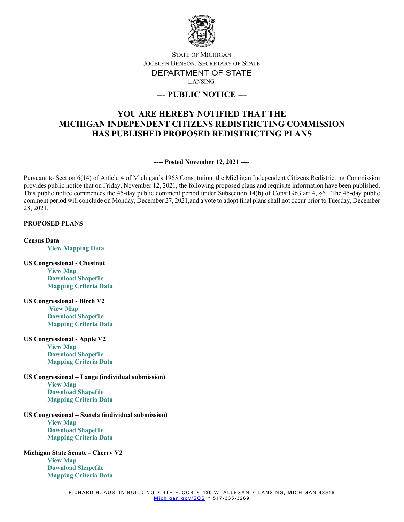

# **STATE OF MICHIGAN** JOCELYN BENSON, SECRETARY OF STATE DEPARTMENT OF STATE LANSING

# **--- PUBLIC NOTICE ---**

# **YOU ARE HEREBY NOTIFIED THAT THE MICHIGAN INDEPENDENT CITIZENS REDISTRICTING COMMISSION HAS PUBLISHED PROPOSED REDISTRICTING PLANS**

**---- Posted November 12, 2021 ----**

Pursuant to Section 6(14) of Article 4 of Michigan's 1963 Constitution, the Michigan Independent Citizens Redistricting Commission provides public notice that on Friday, November 12, 2021, the following proposed plans and requisite information have been published. This public notice commences the 45-day public comment period under Subsection 14(b) of Const1963 art 4, §6. The 45-day public comment period will conclude on Monday, December 27, 2021,and a vote to adopt final plans shall not occur prior to Tuesday, December 28, 2021.

#### **PROPOSED PLANS**

**Census Data [View Mapping Data](https://www.michigan.gov/micrc/0,10083,7-418-107190_108508---,00.html)**

- **US Congressional - Chestnut [View Map](https://michigan.mydistricting.com/legdistricting/comments/plan/254/23) [Download Shapefile](https://www.michigan.gov/documents/micrc/MICRC_Chestnut_740296_7.zip) [Mapping Criteria Data](https://www.michigan.gov/documents/micrc/MICRC_Chestnut_Criteria_Data_740307_7.zip)**
- **US Congressional - Birch V2 [View Map](https://michigan.mydistricting.com/legdistricting/comments/plan/253/23) [Download Shapefile](https://www.michigan.gov/documents/micrc/MICRC_Birch_V2_740293_7.zip) [Mapping Criteria Data](https://www.michigan.gov/documents/micrc/MICRC_Birch_V2_Criteria_Data_740308_7.zip)**
- **US Congressional - Apple V2 [View Map](https://michigan.mydistricting.com/legdistricting/comments/plan/252/23) [Download Shapefile](https://www.michigan.gov/documents/micrc/MICRC_Apple_V2_740292_7.zip) [Mapping Criteria Data](https://www.michigan.gov/documents/micrc/MICRC_Apple_V2_Criteria_Data_740305_7.zip)**
- **US Congressional – Lange (individual submission)**

**[View Map](https://michigan.mydistricting.com/legdistricting/comments/plan/273/23) [Download Shapefile](https://www.michigan.gov/documents/micrc/MICRC_Lange_Congressional_740835_7.zip) [Mapping Criteria Data](https://www.michigan.gov/documents/micrc/MICRC_Lange_Congressional_Criteria_741211_7.zip)**

## **US Congressional – Szetela (individual submission)**

**[View Map](https://michigan.mydistricting.com/legdistricting/comments/plan/275/23) [Download Shapefile](https://www.michigan.gov/documents/micrc/MIRC_Szetela_congressional_740837_7.zip) [Mapping Criteria Data](https://www.michigan.gov/documents/micrc/MIRC_Szetela_congressional_Criteria_740838_7.zip)**

#### **Michigan State Senate - Cherry V2**

**[View Map](https://michigan.mydistricting.com/legdistricting/comments/plan/251/23) [Download Shapefile](https://www.michigan.gov/documents/micrc/MICRC_Cherry_V2_740297_7.zip) [Mapping Criteria Data](https://www.michigan.gov/documents/micrc/MICRC_Cherry_V2_Criteria_Data_740309_7.zip)**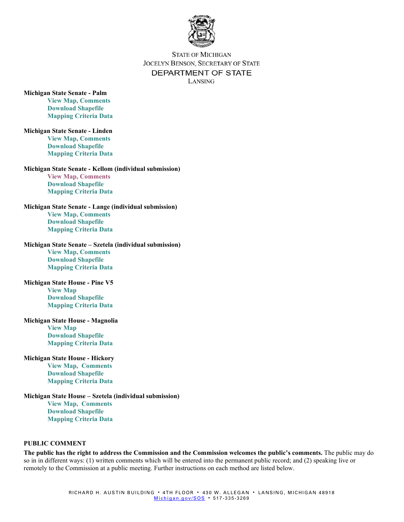

## **STATE OF MICHIGAN** JOCELYN BENSON, SECRETARY OF STATE DEPARTMENT OF STATE LANSING

#### **Michigan State Senate - Palm**

**[View Map, Comments](https://michigan.mydistricting.com/legdistricting/comments/plan/261/23) [Download Shapefile](https://www.michigan.gov/documents/micrc/MICRC_Palm_740485_7.zip) [Mapping Criteria Data](https://www.michigan.gov/documents/micrc/MICRC_Palm_Criteria_740486_7.zip)**

**Michigan State Senate - Linden [View Map, Comments](https://michigan.mydistricting.com/legdistricting/comments/plan/260/23) [Download Shapefile](https://www.michigan.gov/documents/micrc/MICRC_Linden_740487_7.zip) [Mapping Criteria Data](https://www.michigan.gov/documents/micrc/MICRC_Linden_Criteria_740488_7.zip)**

#### **Michigan State Senate - Kellom (individual submission)**

**[View Map, Comments](https://michigan.mydistricting.com/legdistricting/comments/plan/270/23) [Download Shapefile](https://www.michigan.gov/documents/micrc/MICRC_Kellom_Senate_740840_7.zip) [Mapping Criteria Data](https://www.michigan.gov/documents/micrc/MICRC_Kellom_Senate_740840_7.zip)**

**Michigan State Senate - Lange (individual submission) [View Map, Comments](https://michigan.mydistricting.com/legdistricting/comments/plan/277/23) [Download Shapefile](https://www.michigan.gov/documents/micrc/MICRC_Lange_Senate_740844_7.zip) [Mapping Criteria Data](https://www.michigan.gov/documents/micrc/MICRC_Lange_Senate_Criteria_740845_7.zip)**

#### **Michigan State Senate – Szetela (individual submission)**

**[View Map, Comments](https://michigan.mydistricting.com/legdistricting/comments/plan/268/23) [Download Shapefile](https://www.michigan.gov/documents/micrc/MICRC_Szetela_Senate_740846_7.zip) [Mapping Criteria Data](https://www.michigan.gov/documents/micrc/MICRC_Szetela_Senate_740846_7.zip)**

#### **Michigan State House - Pine V5 [View Map](https://gcc02.safelinks.protection.outlook.com/?url=https%3A%2F%2Fmichigan.mydistricting.com%2Flegdistricting%2Fcomments%2Fplan%2F259%2F23&data=04%7C01%7CLawensN%40michigan.gov%7C898eb0b7798140d6797708d99fa520a4%7Cd5fb7087377742ad966a892ef47225d1%7C0%7C0%7C637716354648141624%7CUnknown%7CTWFpbGZsb3d8eyJWIjoiMC4wLjAwMDAiLCJQIjoiV2luMzIiLCJBTiI6Ik1haWwiLCJXVCI6Mn0%3D%7C1000&sdata=qkTUCiLzxlls4RVI3orGSmat3lYcca0SsEtspLefDA0%3D&reserved=0)**

**[Download Shapefile](https://www.michigan.gov/documents/micrc/MICRC_Pine__v5_740355_7.zip) [Mapping Criteria Data](https://www.michigan.gov/documents/micrc/MICRC_Pine_v5_Criteria_Data_740356_7.zip)**

#### **Michigan State House - Magnolia**

**[View Map](https://michigan.mydistricting.com/legdistricting/comments/plan/263/23) [Download Shapefile](https://www.michigan.gov/documents/micrc/MICRC_Magnolia_740481_7.zip) [Mapping Criteria Data](https://www.michigan.gov/documents/micrc/MICRC_Magnolia_Criteria_740482_7.zip)**

#### **Michigan State House - Hickory**

**[View Map,](https://michigan.mydistricting.com/legdistricting/comments/plan/262/23) Comments [Download Shapefile](https://www.michigan.gov/documents/micrc/MICRC_Hickory_740483_7.zip) [Mapping Criteria Data](https://www.michigan.gov/documents/micrc/MICRC_Hickory_Criteria_740484_7.zip)**

#### **Michigan State House – Szetela (individual submission)**

**[View Map,](https://michigan.mydistricting.com/legdistricting/comments/plan/276/23) Comments [Download Shapefile](https://www.michigan.gov/documents/micrc/MICRC_Szetela_House_740848_7.zip) [Mapping Criteria Data](https://www.michigan.gov/documents/micrc/MICRC_Szetela_House_Criteria_740849_7.zip)**

#### **PUBLIC COMMENT**

**The public has the right to address the Commission and the Commission welcomes the public's comments.** The public may do so in in different ways: (1) written comments which will be entered into the permanent public record; and (2) speaking live or remotely to the Commission at a public meeting. Further instructions on each method are listed below.